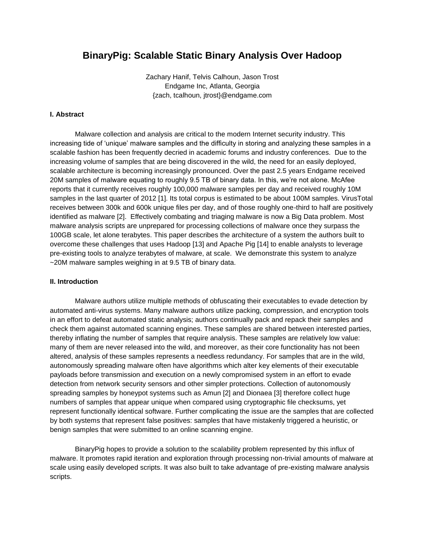# **BinaryPig: Scalable Static Binary Analysis Over Hadoop**

Zachary Hanif, Telvis Calhoun, Jason Trost Endgame Inc, Atlanta, Georgia {zach, tcalhoun, jtrost}@endgame.com

# **I. Abstract**

Malware collection and analysis are critical to the modern Internet security industry. This increasing tide of 'unique' malware samples and the difficulty in storing and analyzing these samples in a scalable fashion has been frequently decried in academic forums and industry conferences. Due to the increasing volume of samples that are being discovered in the wild, the need for an easily deployed, scalable architecture is becoming increasingly pronounced. Over the past 2.5 years Endgame received 20M samples of malware equating to roughly 9.5 TB of binary data. In this, we're not alone. McAfee reports that it currently receives roughly 100,000 malware samples per day and received roughly 10M samples in the last quarter of 2012 [1]. Its total corpus is estimated to be about 100M samples. VirusTotal receives between 300k and 600k unique files per day, and of those roughly one-third to half are positively identified as malware [2]. Effectively combating and triaging malware is now a Big Data problem. Most malware analysis scripts are unprepared for processing collections of malware once they surpass the 100GB scale, let alone terabytes. This paper describes the architecture of a system the authors built to overcome these challenges that uses Hadoop [13] and Apache Pig [14] to enable analysts to leverage pre-existing tools to analyze terabytes of malware, at scale. We demonstrate this system to analyze ~20M malware samples weighing in at 9.5 TB of binary data.

#### **II. Introduction**

Malware authors utilize multiple methods of obfuscating their executables to evade detection by automated anti-virus systems. Many malware authors utilize packing, compression, and encryption tools in an effort to defeat automated static analysis; authors continually pack and repack their samples and check them against automated scanning engines. These samples are shared between interested parties, thereby inflating the number of samples that require analysis. These samples are relatively low value: many of them are never released into the wild, and moreover, as their core functionality has not been altered, analysis of these samples represents a needless redundancy. For samples that are in the wild, autonomously spreading malware often have algorithms which alter key elements of their executable payloads before transmission and execution on a newly compromised system in an effort to evade detection from network security sensors and other simpler protections. Collection of autonomously spreading samples by honeypot systems such as Amun [2] and Dionaea [3] therefore collect huge numbers of samples that appear unique when compared using cryptographic file checksums, yet represent functionally identical software. Further complicating the issue are the samples that are collected by both systems that represent false positives: samples that have mistakenly triggered a heuristic, or benign samples that were submitted to an online scanning engine.

BinaryPig hopes to provide a solution to the scalability problem represented by this influx of malware. It promotes rapid iteration and exploration through processing non-trivial amounts of malware at scale using easily developed scripts. It was also built to take advantage of pre-existing malware analysis scripts.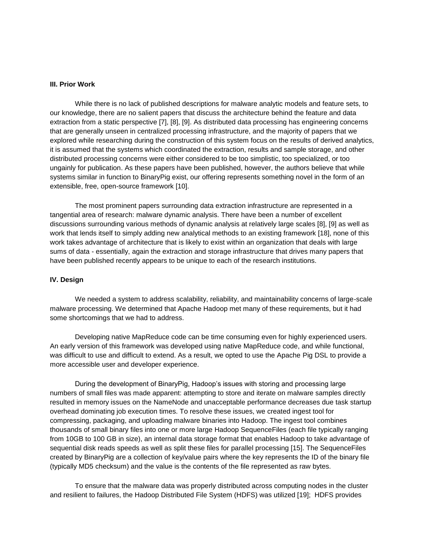### **III. Prior Work**

While there is no lack of published descriptions for malware analytic models and feature sets, to our knowledge, there are no salient papers that discuss the architecture behind the feature and data extraction from a static perspective [7], [8], [9]. As distributed data processing has engineering concerns that are generally unseen in centralized processing infrastructure, and the majority of papers that we explored while researching during the construction of this system focus on the results of derived analytics, it is assumed that the systems which coordinated the extraction, results and sample storage, and other distributed processing concerns were either considered to be too simplistic, too specialized, or too ungainly for publication. As these papers have been published, however, the authors believe that while systems similar in function to BinaryPig exist, our offering represents something novel in the form of an extensible, free, open-source framework [10].

The most prominent papers surrounding data extraction infrastructure are represented in a tangential area of research: malware dynamic analysis. There have been a number of excellent discussions surrounding various methods of dynamic analysis at relatively large scales [8], [9] as well as work that lends itself to simply adding new analytical methods to an existing framework [18], none of this work takes advantage of architecture that is likely to exist within an organization that deals with large sums of data - essentially, again the extraction and storage infrastructure that drives many papers that have been published recently appears to be unique to each of the research institutions.

#### **IV. Design**

We needed a system to address scalability, reliability, and maintainability concerns of large-scale malware processing. We determined that Apache Hadoop met many of these requirements, but it had some shortcomings that we had to address.

Developing native MapReduce code can be time consuming even for highly experienced users. An early version of this framework was developed using native MapReduce code, and while functional, was difficult to use and difficult to extend. As a result, we opted to use the Apache Pig DSL to provide a more accessible user and developer experience.

During the development of BinaryPig, Hadoop's issues with storing and processing large numbers of small files was made apparent: attempting to store and iterate on malware samples directly resulted in memory issues on the NameNode and unacceptable performance decreases due task startup overhead dominating job execution times. To resolve these issues, we created ingest tool for compressing, packaging, and uploading malware binaries into Hadoop. The ingest tool combines thousands of small binary files into one or more large Hadoop SequenceFiles (each file typically ranging from 10GB to 100 GB in size), an internal data storage format that enables Hadoop to take advantage of sequential disk reads speeds as well as split these files for parallel processing [15]. The SequenceFiles created by BinaryPig are a collection of key/value pairs where the key represents the ID of the binary file (typically MD5 checksum) and the value is the contents of the file represented as raw bytes.

To ensure that the malware data was properly distributed across computing nodes in the cluster and resilient to failures, the Hadoop Distributed File System (HDFS) was utilized [19]; HDFS provides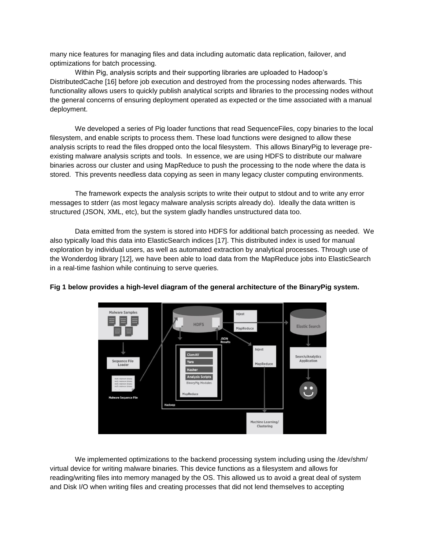many nice features for managing files and data including automatic data replication, failover, and optimizations for batch processing.

Within Pig, analysis scripts and their supporting libraries are uploaded to Hadoop's DistributedCache [16] before job execution and destroyed from the processing nodes afterwards. This functionality allows users to quickly publish analytical scripts and libraries to the processing nodes without the general concerns of ensuring deployment operated as expected or the time associated with a manual deployment.

We developed a series of Pig loader functions that read SequenceFiles, copy binaries to the local filesystem, and enable scripts to process them. These load functions were designed to allow these analysis scripts to read the files dropped onto the local filesystem. This allows BinaryPig to leverage preexisting malware analysis scripts and tools. In essence, we are using HDFS to distribute our malware binaries across our cluster and using MapReduce to push the processing to the node where the data is stored. This prevents needless data copying as seen in many legacy cluster computing environments.

The framework expects the analysis scripts to write their output to stdout and to write any error messages to stderr (as most legacy malware analysis scripts already do). Ideally the data written is structured (JSON, XML, etc), but the system gladly handles unstructured data too.

Data emitted from the system is stored into HDFS for additional batch processing as needed. We also typically load this data into ElasticSearch indices [17]. This distributed index is used for manual exploration by individual users, as well as automated extraction by analytical processes. Through use of the Wonderdog library [12], we have been able to load data from the MapReduce jobs into ElasticSearch in a real-time fashion while continuing to serve queries.



# **Fig 1 below provides a high-level diagram of the general architecture of the BinaryPig system.**

We implemented optimizations to the backend processing system including using the /dev/shm/ virtual device for writing malware binaries. This device functions as a filesystem and allows for reading/writing files into memory managed by the OS. This allowed us to avoid a great deal of system and Disk I/O when writing files and creating processes that did not lend themselves to accepting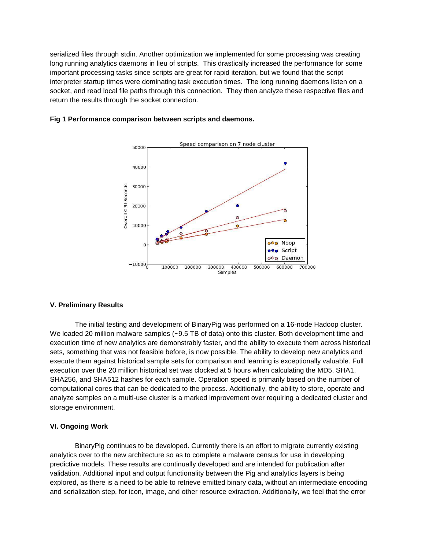serialized files through stdin. Another optimization we implemented for some processing was creating long running analytics daemons in lieu of scripts. This drastically increased the performance for some important processing tasks since scripts are great for rapid iteration, but we found that the script interpreter startup times were dominating task execution times. The long running daemons listen on a socket, and read local file paths through this connection. They then analyze these respective files and return the results through the socket connection.





### **V. Preliminary Results**

The initial testing and development of BinaryPig was performed on a 16-node Hadoop cluster. We loaded 20 million malware samples (~9.5 TB of data) onto this cluster. Both development time and execution time of new analytics are demonstrably faster, and the ability to execute them across historical sets, something that was not feasible before, is now possible. The ability to develop new analytics and execute them against historical sample sets for comparison and learning is exceptionally valuable. Full execution over the 20 million historical set was clocked at 5 hours when calculating the MD5, SHA1, SHA256, and SHA512 hashes for each sample. Operation speed is primarily based on the number of computational cores that can be dedicated to the process. Additionally, the ability to store, operate and analyze samples on a multi-use cluster is a marked improvement over requiring a dedicated cluster and storage environment.

### **VI. Ongoing Work**

BinaryPig continues to be developed. Currently there is an effort to migrate currently existing analytics over to the new architecture so as to complete a malware census for use in developing predictive models. These results are continually developed and are intended for publication after validation. Additional input and output functionality between the Pig and analytics layers is being explored, as there is a need to be able to retrieve emitted binary data, without an intermediate encoding and serialization step, for icon, image, and other resource extraction. Additionally, we feel that the error